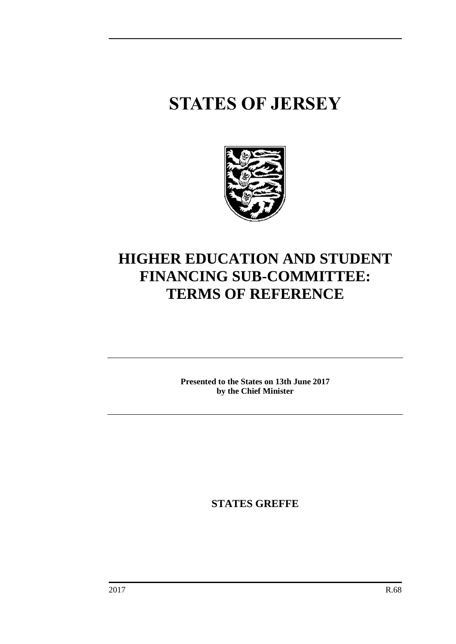# **STATES OF JERSEY**



# **HIGHER EDUCATION AND STUDENT FINANCING SUB-COMMITTEE: TERMS OF REFERENCE**

**Presented to the States on 13th June 2017 by the Chief Minister**

**STATES GREFFE**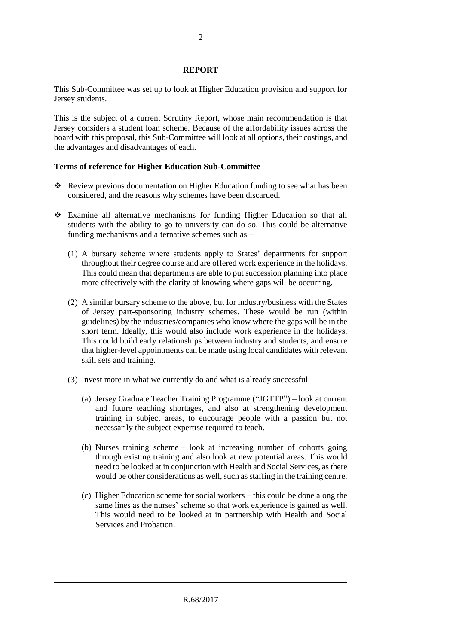## **REPORT**

This Sub-Committee was set up to look at Higher Education provision and support for Jersey students.

This is the subject of a current Scrutiny Report, whose main recommendation is that Jersey considers a student loan scheme. Because of the affordability issues across the board with this proposal, this Sub-Committee will look at all options, their costings, and the advantages and disadvantages of each.

# **Terms of reference for Higher Education Sub-Committee**

- Review previous documentation on Higher Education funding to see what has been considered, and the reasons why schemes have been discarded.
- Examine all alternative mechanisms for funding Higher Education so that all students with the ability to go to university can do so. This could be alternative funding mechanisms and alternative schemes such as –
	- (1) A bursary scheme where students apply to States' departments for support throughout their degree course and are offered work experience in the holidays. This could mean that departments are able to put succession planning into place more effectively with the clarity of knowing where gaps will be occurring.
	- (2) A similar bursary scheme to the above, but for industry/business with the States of Jersey part-sponsoring industry schemes. These would be run (within guidelines) by the industries/companies who know where the gaps will be in the short term. Ideally, this would also include work experience in the holidays. This could build early relationships between industry and students, and ensure that higher-level appointments can be made using local candidates with relevant skill sets and training.
	- (3) Invest more in what we currently do and what is already successful
		- (a) Jersey Graduate Teacher Training Programme ("JGTTP") look at current and future teaching shortages, and also at strengthening development training in subject areas, to encourage people with a passion but not necessarily the subject expertise required to teach.
		- (b) Nurses training scheme look at increasing number of cohorts going through existing training and also look at new potential areas. This would need to be looked at in conjunction with Health and Social Services, as there would be other considerations as well, such as staffing in the training centre.
		- (c) Higher Education scheme for social workers this could be done along the same lines as the nurses' scheme so that work experience is gained as well. This would need to be looked at in partnership with Health and Social Services and Probation.